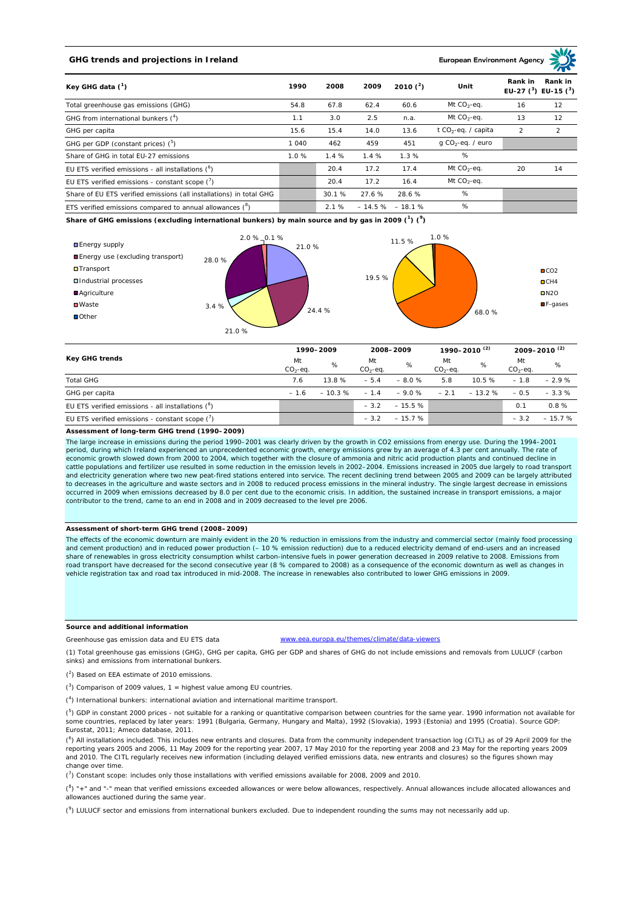## **GHG trends and projections in Ireland**

**European Environment Ag** 

| Key GHG data $(^1)$                                                 |         | 2008  | 2009   | 2010 $(^{2})$     | Unit                            | Rank in<br>Rank in<br>EU-27 $(^3)$ EU-15 $(^3)$ |                |
|---------------------------------------------------------------------|---------|-------|--------|-------------------|---------------------------------|-------------------------------------------------|----------------|
| Total greenhouse gas emissions (GHG)                                | 54.8    | 67.8  | 62.4   | 60.6              | Mt $CO2$ -eq.                   | 16                                              | 12             |
| GHG from international bunkers $(^4)$                               | 1.1     | 3.0   | 2.5    | n.a.              | Mt $CO_2$ -eq.                  | 13                                              | 12             |
| GHG per capita                                                      | 15.6    | 15.4  | 14.0   | 13.6              | t CO <sub>2</sub> -eq. / capita | $\overline{2}$                                  | $\overline{2}$ |
| GHG per GDP (constant prices) $(^5)$                                | 1 0 4 0 | 462   | 459    | 451               | $q$ CO <sub>2</sub> -eq. / euro |                                                 |                |
| Share of GHG in total EU-27 emissions                               | 1.0%    | 1.4%  | 1.4%   | 1.3%              | %                               |                                                 |                |
| EU ETS verified emissions - all installations $(^6)$                |         | 20.4  | 17.2   | 17.4              | Mt $CO_2$ -eq.                  | 20                                              | 14             |
| EU ETS verified emissions - constant scope $(7)$                    |         | 20.4  | 17.2   | 16.4              | Mt $CO_2$ -eq.                  |                                                 |                |
| Share of EU ETS verified emissions (all installations) in total GHG |         | 30.1% | 27.6 % | 28.6 %            | %                               |                                                 |                |
| ETS verified emissions compared to annual allowances $(^8)$         |         | 2.1%  |        | $-14.5\% -18.1\%$ | %                               |                                                 |                |

**Share of GHG emissions (excluding international bunkers) by main source and by gas in 2009 (<sup>1</sup> ) (<sup>9</sup> )**



| Key GHG trends                                       |                 | 1990-2009 |                  | 2008-2009 |                 | 1990–2010 <sup>(2)</sup> |                 | 2009-2010 <sup>(2)</sup> |  |
|------------------------------------------------------|-----------------|-----------|------------------|-----------|-----------------|--------------------------|-----------------|--------------------------|--|
|                                                      | Mt<br>$CO2-eq.$ | %         | Mt<br>$CO2-ea$ . | %         | Mt<br>$CO2-ea.$ | %                        | Mt<br>$CO2-ea.$ | %                        |  |
| <b>Total GHG</b>                                     | 7.6             | 13.8%     | $-5.4$           | $-8.0%$   | 5.8             | 10.5%                    | $-1.8$          | $-2.9%$                  |  |
| GHG per capita                                       | $-1.6$          | $-10.3%$  | $-1.4$           | $-9.0%$   | $-2.1$          | $-13.2%$                 | $-0.5$          | $-3.3%$                  |  |
| EU ETS verified emissions - all installations $(^6)$ |                 |           | $-3.2$           | $-15.5%$  |                 |                          | 0.1             | 0.8%                     |  |
| EU ETS verified emissions - constant scope $(7)$     |                 |           | $-3.2$           | $-15.7%$  |                 |                          | $-3.2$          | $-15.7%$                 |  |

**Assessment of long-term GHG trend (1990–2009)**

The large increase in emissions during the period 1990–2001 was clearly driven by the growth in CO2 emissions from energy use. During the 1994–2001 period, during which Ireland experienced an unprecedented economic growth, energy emissions grew by an average of 4.3 per cent annually. The rate of economic growth slowed down from 2000 to 2004, which together with the closure of ammonia and nitric acid production plants and continued decline in cattle populations and fertilizer use resulted in some reduction in the emission levels in 2002–2004. Emissions increased in 2005 due largely to road transport and electricity generation where two new peat-fired stations entered into service. The recent declining trend between 2005 and 2009 can be largely attributed to decreases in the agriculture and waste sectors and in 2008 to reduced process emissions in the mineral industry. The single largest decrease in emissions occurred in 2009 when emissions decreased by 8.0 per cent due to the economic crisis. In addition, the sustained increase in transport emissions, a major contributor to the trend, came to an end in 2008 and in 2009 decreased to the level pre 2006.

## **Assessment of short-term GHG trend (2008–2009)**

The effects of the economic downturn are mainly evident in the 20 % reduction in emissions from the industry and commercial sector (mainly food processing and cement production) and in reduced power production (– 10 % emission reduction) due to a reduced electricity demand of end-users and an increased share of renewables in gross electricity consumption whilst carbon-intensive fuels in power generation decreased in 2009 relative to 2008. Emissions from road transport have decreased for the second consecutive year (8 % compared to 2008) as a consequence of the economic downturn as well as changes in<br>vehicle registration tax and road tax introduced in mid-2008. The increas

## **Source and additional information**

www.eea.europa.eu/themes/climate/data-viewers

(1) Total greenhouse gas emissions (GHG), GHG per capita, GHG per GDP and shares of GHG do not include emissions and removals from LULUCF (carbon sinks) and emissions from international bunkers.

( 2 ) Based on EEA estimate of 2010 emissions.

Greenhouse gas emission data and EU ETS data

 $(3)$  Comparison of 2009 values, 1 = highest value among EU countries.

( 4 ) International bunkers: international aviation and international maritime transport.

 $(^{5})$  GDP in constant 2000 prices - not suitable for a ranking or quantitative comparison between countries for the same year. 1990 information not available for some countries, replaced by later years: 1991 (Bulgaria, Germany, Hungary and Malta), 1992 (Slovakia), 1993 (Estonia) and 1995 (Croatia). Source GDP: Eurostat, 2011; Ameco database, 2011.

(<sup>6</sup>) All installations included. This includes new entrants and closures. Data from the community independent transaction log (CITL) as of 29 April 2009 for the<br>reporting years 2005 and 2006, 11 May 2009 for the reporting and 2010. The CITL regularly receives new information (including delayed verified emissions data, new entrants and closures) so the figures shown may change over time.

 $\binom{7}{1}$  Constant scope: includes only those installations with verified emissions available for 2008, 2009 and 2010.

 $(^{8}$ ) " $+$ " and "-" mean that verified emissions exceeded allowances or were below allowances, respectively. Annual allowances include allocated allowances and allowances auctioned during the same year.

 $(2)$  LULUCF sector and emissions from international bunkers excluded. Due to independent rounding the sums may not necessarily add up.